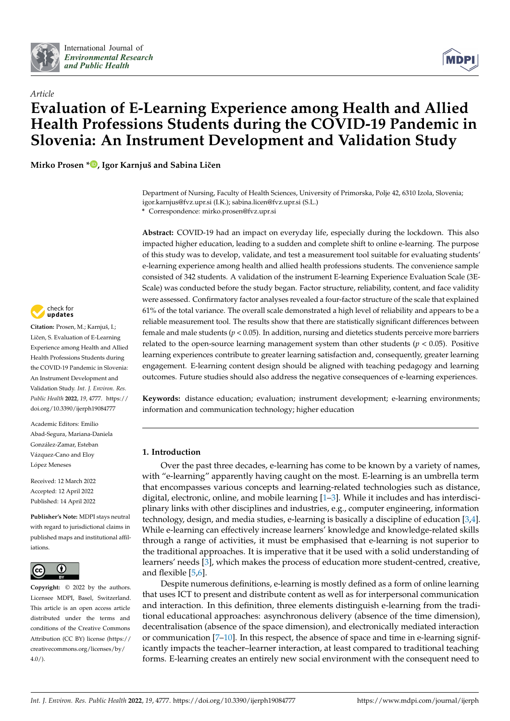



# *Article* **Evaluation of E-Learning Experience among Health and Allied Health Professions Students during the COVID-19 Pandemic in Slovenia: An Instrument Development and Validation Study**

**Mirko Prosen \* [,](https://orcid.org/0000-0001-9943-9037) Igor Karnjuš and Sabina Liˇcen**

Department of Nursing, Faculty of Health Sciences, University of Primorska, Polje 42, 6310 Izola, Slovenia; igor.karnjus@fvz.upr.si (I.K.); sabina.licen@fvz.upr.si (S.L.)

**\*** Correspondence: mirko.prosen@fvz.upr.si

**Abstract:** COVID-19 had an impact on everyday life, especially during the lockdown. This also impacted higher education, leading to a sudden and complete shift to online e-learning. The purpose of this study was to develop, validate, and test a measurement tool suitable for evaluating students' e-learning experience among health and allied health professions students. The convenience sample consisted of 342 students. A validation of the instrument E-learning Experience Evaluation Scale (3E-Scale) was conducted before the study began. Factor structure, reliability, content, and face validity were assessed. Confirmatory factor analyses revealed a four-factor structure of the scale that explained 61% of the total variance. The overall scale demonstrated a high level of reliability and appears to be a reliable measurement tool. The results show that there are statistically significant differences between female and male students (*p* < 0.05). In addition, nursing and dietetics students perceive more barriers related to the open-source learning management system than other students ( $p < 0.05$ ). Positive learning experiences contribute to greater learning satisfaction and, consequently, greater learning engagement. E-learning content design should be aligned with teaching pedagogy and learning outcomes. Future studies should also address the negative consequences of e-learning experiences.

**Keywords:** distance education; evaluation; instrument development; e-learning environments; information and communication technology; higher education

## **1. Introduction**

Over the past three decades, e-learning has come to be known by a variety of names, with "e-learning" apparently having caught on the most. E-learning is an umbrella term that encompasses various concepts and learning-related technologies such as distance, digital, electronic, online, and mobile learning [\[1–](#page-10-0)[3\]](#page-10-1). While it includes and has interdisciplinary links with other disciplines and industries, e.g., computer engineering, information technology, design, and media studies, e-learning is basically a discipline of education [\[3](#page-10-1)[,4\]](#page-10-2). While e-learning can effectively increase learners' knowledge and knowledge-related skills through a range of activities, it must be emphasised that e-learning is not superior to the traditional approaches. It is imperative that it be used with a solid understanding of learners' needs [\[3\]](#page-10-1), which makes the process of education more student-centred, creative, and flexible [\[5,](#page-10-3)[6\]](#page-10-4).

Despite numerous definitions, e-learning is mostly defined as a form of online learning that uses ICT to present and distribute content as well as for interpersonal communication and interaction. In this definition, three elements distinguish e-learning from the traditional educational approaches: asynchronous delivery (absence of the time dimension), decentralisation (absence of the space dimension), and electronically mediated interaction or communication [\[7](#page-10-5)[–10\]](#page-10-6). In this respect, the absence of space and time in e-learning significantly impacts the teacher–learner interaction, at least compared to traditional teaching forms. E-learning creates an entirely new social environment with the consequent need to



**Citation:** Prosen, M.; Karnjuš, I.; Ličen, S. Evaluation of E-Learning Experience among Health and Allied Health Professions Students during the COVID-19 Pandemic in Slovenia: An Instrument Development and Validation Study. *Int. J. Environ. Res. Public Health* **2022**, *19*, 4777. [https://](https://doi.org/10.3390/ijerph19084777) [doi.org/10.3390/ijerph19084777](https://doi.org/10.3390/ijerph19084777)

Academic Editors: Emilio Abad-Segura, Mariana-Daniela González-Zamar, Esteban Vázquez-Cano and Eloy López Meneses

Received: 12 March 2022 Accepted: 12 April 2022 Published: 14 April 2022

**Publisher's Note:** MDPI stays neutral with regard to jurisdictional claims in published maps and institutional affiliations.



**Copyright:** © 2022 by the authors. Licensee MDPI, Basel, Switzerland. This article is an open access article distributed under the terms and conditions of the Creative Commons Attribution (CC BY) license [\(https://](https://creativecommons.org/licenses/by/4.0/) [creativecommons.org/licenses/by/](https://creativecommons.org/licenses/by/4.0/)  $4.0/$ ).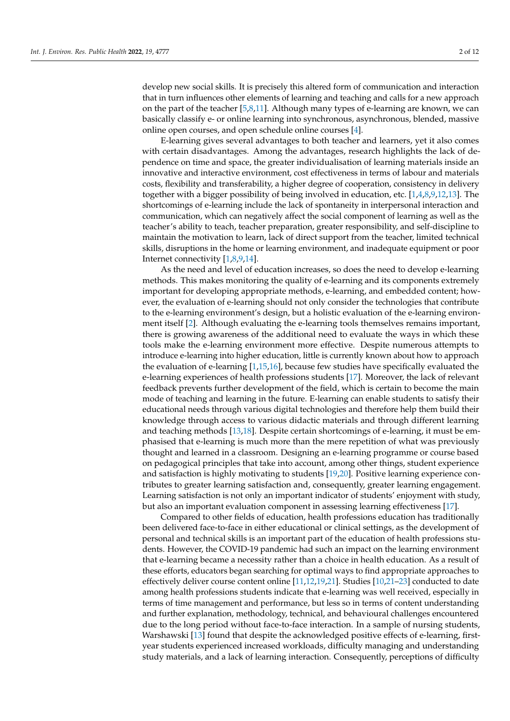develop new social skills. It is precisely this altered form of communication and interaction that in turn influences other elements of learning and teaching and calls for a new approach on the part of the teacher [\[5](#page-10-3)[,8](#page-10-7)[,11\]](#page-10-8). Although many types of e-learning are known, we can basically classify e- or online learning into synchronous, asynchronous, blended, massive online open courses, and open schedule online courses [\[4\]](#page-10-2).

E-learning gives several advantages to both teacher and learners, yet it also comes with certain disadvantages. Among the advantages, research highlights the lack of dependence on time and space, the greater individualisation of learning materials inside an innovative and interactive environment, cost effectiveness in terms of labour and materials costs, flexibility and transferability, a higher degree of cooperation, consistency in delivery together with a bigger possibility of being involved in education, etc. [\[1,](#page-10-0)[4](#page-10-2)[,8,](#page-10-7)[9,](#page-10-9)[12](#page-10-10)[,13\]](#page-10-11). The shortcomings of e-learning include the lack of spontaneity in interpersonal interaction and communication, which can negatively affect the social component of learning as well as the teacher's ability to teach, teacher preparation, greater responsibility, and self-discipline to maintain the motivation to learn, lack of direct support from the teacher, limited technical skills, disruptions in the home or learning environment, and inadequate equipment or poor Internet connectivity [\[1,](#page-10-0)[8,](#page-10-7)[9,](#page-10-9)[14\]](#page-10-12).

As the need and level of education increases, so does the need to develop e-learning methods. This makes monitoring the quality of e-learning and its components extremely important for developing appropriate methods, e-learning, and embedded content; however, the evaluation of e-learning should not only consider the technologies that contribute to the e-learning environment's design, but a holistic evaluation of the e-learning environment itself [\[2\]](#page-10-13). Although evaluating the e-learning tools themselves remains important, there is growing awareness of the additional need to evaluate the ways in which these tools make the e-learning environment more effective. Despite numerous attempts to introduce e-learning into higher education, little is currently known about how to approach the evaluation of e-learning [\[1](#page-10-0)[,15](#page-10-14)[,16\]](#page-10-15), because few studies have specifically evaluated the e-learning experiences of health professions students [\[17\]](#page-10-16). Moreover, the lack of relevant feedback prevents further development of the field, which is certain to become the main mode of teaching and learning in the future. E-learning can enable students to satisfy their educational needs through various digital technologies and therefore help them build their knowledge through access to various didactic materials and through different learning and teaching methods [\[13,](#page-10-11)[18\]](#page-10-17). Despite certain shortcomings of e-learning, it must be emphasised that e-learning is much more than the mere repetition of what was previously thought and learned in a classroom. Designing an e-learning programme or course based on pedagogical principles that take into account, among other things, student experience and satisfaction is highly motivating to students [\[19,](#page-10-18)[20\]](#page-10-19). Positive learning experience contributes to greater learning satisfaction and, consequently, greater learning engagement. Learning satisfaction is not only an important indicator of students' enjoyment with study, but also an important evaluation component in assessing learning effectiveness [\[17\]](#page-10-16).

Compared to other fields of education, health professions education has traditionally been delivered face-to-face in either educational or clinical settings, as the development of personal and technical skills is an important part of the education of health professions students. However, the COVID-19 pandemic had such an impact on the learning environment that e-learning became a necessity rather than a choice in health education. As a result of these efforts, educators began searching for optimal ways to find appropriate approaches to effectively deliver course content online [\[11](#page-10-8)[,12,](#page-10-10)[19,](#page-10-18)[21\]](#page-11-0). Studies [\[10](#page-10-6)[,21–](#page-11-0)[23\]](#page-11-1) conducted to date among health professions students indicate that e-learning was well received, especially in terms of time management and performance, but less so in terms of content understanding and further explanation, methodology, technical, and behavioural challenges encountered due to the long period without face-to-face interaction. In a sample of nursing students, Warshawski [\[13\]](#page-10-11) found that despite the acknowledged positive effects of e-learning, firstyear students experienced increased workloads, difficulty managing and understanding study materials, and a lack of learning interaction. Consequently, perceptions of difficulty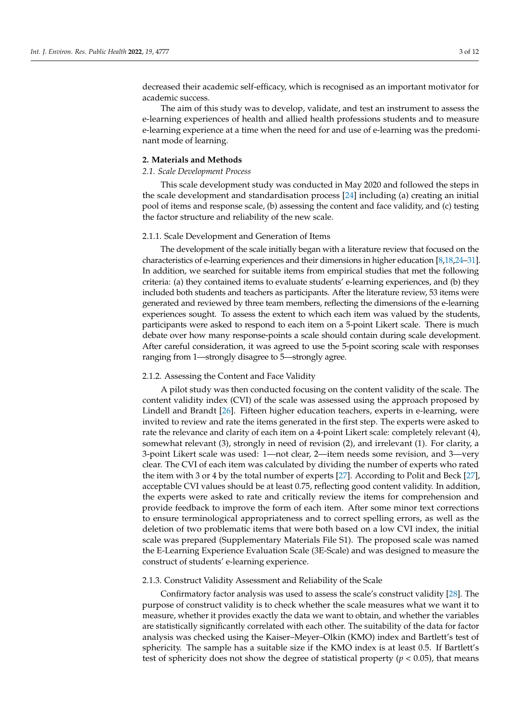decreased their academic self-efficacy, which is recognised as an important motivator for academic success.

The aim of this study was to develop, validate, and test an instrument to assess the e-learning experiences of health and allied health professions students and to measure e-learning experience at a time when the need for and use of e-learning was the predominant mode of learning.

#### **2. Materials and Methods**

#### *2.1. Scale Development Process*

This scale development study was conducted in May 2020 and followed the steps in the scale development and standardisation process [\[24\]](#page-11-2) including (a) creating an initial pool of items and response scale, (b) assessing the content and face validity, and (c) testing the factor structure and reliability of the new scale.

#### 2.1.1. Scale Development and Generation of Items

The development of the scale initially began with a literature review that focused on the characteristics of e-learning experiences and their dimensions in higher education [\[8](#page-10-7)[,18](#page-10-17)[,24–](#page-11-2)[31\]](#page-11-3). In addition, we searched for suitable items from empirical studies that met the following criteria: (a) they contained items to evaluate students' e-learning experiences, and (b) they included both students and teachers as participants. After the literature review, 53 items were generated and reviewed by three team members, reflecting the dimensions of the e-learning experiences sought. To assess the extent to which each item was valued by the students, participants were asked to respond to each item on a 5-point Likert scale. There is much debate over how many response-points a scale should contain during scale development. After careful consideration, it was agreed to use the 5-point scoring scale with responses ranging from 1—strongly disagree to 5—strongly agree.

#### 2.1.2. Assessing the Content and Face Validity

A pilot study was then conducted focusing on the content validity of the scale. The content validity index (CVI) of the scale was assessed using the approach proposed by Lindell and Brandt [\[26\]](#page-11-4). Fifteen higher education teachers, experts in e-learning, were invited to review and rate the items generated in the first step. The experts were asked to rate the relevance and clarity of each item on a 4-point Likert scale: completely relevant (4), somewhat relevant (3), strongly in need of revision (2), and irrelevant (1). For clarity, a 3-point Likert scale was used: 1—not clear, 2—item needs some revision, and 3—very clear. The CVI of each item was calculated by dividing the number of experts who rated the item with 3 or 4 by the total number of experts [\[27\]](#page-11-5). According to Polit and Beck [\[27\]](#page-11-5), acceptable CVI values should be at least 0.75, reflecting good content validity. In addition, the experts were asked to rate and critically review the items for comprehension and provide feedback to improve the form of each item. After some minor text corrections to ensure terminological appropriateness and to correct spelling errors, as well as the deletion of two problematic items that were both based on a low CVI index, the initial scale was prepared (Supplementary Materials File S1). The proposed scale was named the E-Learning Experience Evaluation Scale (3E-Scale) and was designed to measure the construct of students' e-learning experience.

#### 2.1.3. Construct Validity Assessment and Reliability of the Scale

Confirmatory factor analysis was used to assess the scale's construct validity [\[28\]](#page-11-6). The purpose of construct validity is to check whether the scale measures what we want it to measure, whether it provides exactly the data we want to obtain, and whether the variables are statistically significantly correlated with each other. The suitability of the data for factor analysis was checked using the Kaiser–Meyer–Olkin (KMO) index and Bartlett's test of sphericity. The sample has a suitable size if the KMO index is at least 0.5. If Bartlett's test of sphericity does not show the degree of statistical property ( $p < 0.05$ ), that means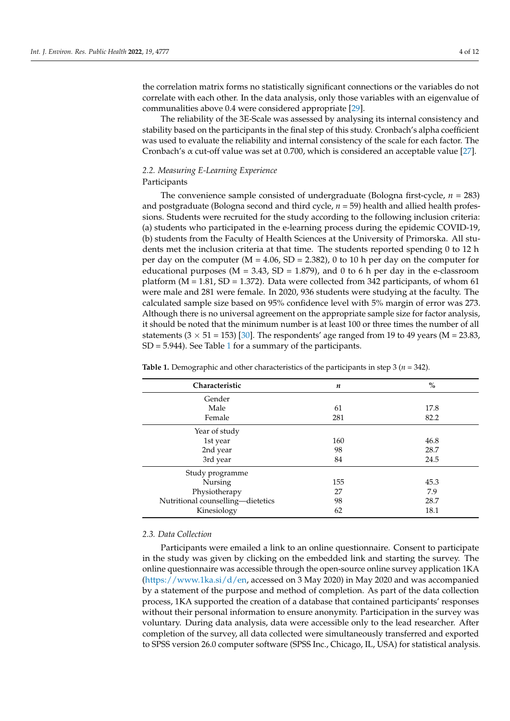the correlation matrix forms no statistically significant connections or the variables do not correlate with each other. In the data analysis, only those variables with an eigenvalue of communalities above 0.4 were considered appropriate [\[29\]](#page-11-7).

The reliability of the 3E-Scale was assessed by analysing its internal consistency and stability based on the participants in the final step of this study. Cronbach's alpha coefficient was used to evaluate the reliability and internal consistency of the scale for each factor. The Cronbach's  $\alpha$  cut-off value was set at 0.700, which is considered an acceptable value [\[27\]](#page-11-5).

# *2.2. Measuring E-Learning Experience*

# Participants

The convenience sample consisted of undergraduate (Bologna first-cycle, *n* = 283) and postgraduate (Bologna second and third cycle, *n* = 59) health and allied health professions. Students were recruited for the study according to the following inclusion criteria: (a) students who participated in the e-learning process during the epidemic COVID-19, (b) students from the Faculty of Health Sciences at the University of Primorska. All students met the inclusion criteria at that time. The students reported spending 0 to 12 h per day on the computer ( $M = 4.06$ ,  $SD = 2.382$ ), 0 to 10 h per day on the computer for educational purposes ( $M = 3.43$ ,  $SD = 1.879$ ), and 0 to 6 h per day in the e-classroom platform  $(M = 1.81, SD = 1.372)$ . Data were collected from 342 participants, of whom 61 were male and 281 were female. In 2020, 936 students were studying at the faculty. The calculated sample size based on 95% confidence level with 5% margin of error was 273. Although there is no universal agreement on the appropriate sample size for factor analysis, it should be noted that the minimum number is at least 100 or three times the number of all statements  $(3 \times 51 = 153)$  [\[30\]](#page-11-8). The respondents' age ranged from 19 to 49 years (M = 23.83,  $SD = 5.944$ ). See Table [1](#page-3-0) for a summary of the participants.

| Characteristic                    | $\boldsymbol{n}$ | $\%$ |
|-----------------------------------|------------------|------|
| Gender                            |                  |      |
| Male                              | 61               | 17.8 |
| Female                            | 281              | 82.2 |
| Year of study                     |                  |      |
| 1st year                          | 160              | 46.8 |
| 2nd year                          | 98               | 28.7 |
| 3rd year                          | 84               | 24.5 |
| Study programme                   |                  |      |
| Nursing                           | 155              | 45.3 |
| Physiotherapy                     | 27               | 7.9  |
| Nutritional counselling-dietetics | 98               | 28.7 |
| Kinesiology                       | 62               | 18.1 |

<span id="page-3-0"></span>**Table 1.** Demographic and other characteristics of the participants in step 3 ( $n = 342$ ).

#### *2.3. Data Collection*

Participants were emailed a link to an online questionnaire. Consent to participate in the study was given by clicking on the embedded link and starting the survey. The online questionnaire was accessible through the open-source online survey application 1KA [\(https://www.1ka.si/d/en,](https://www.1ka.si/d/en) accessed on 3 May 2020) in May 2020 and was accompanied by a statement of the purpose and method of completion. As part of the data collection process, 1KA supported the creation of a database that contained participants' responses without their personal information to ensure anonymity. Participation in the survey was voluntary. During data analysis, data were accessible only to the lead researcher. After completion of the survey, all data collected were simultaneously transferred and exported to SPSS version 26.0 computer software (SPSS Inc., Chicago, IL, USA) for statistical analysis.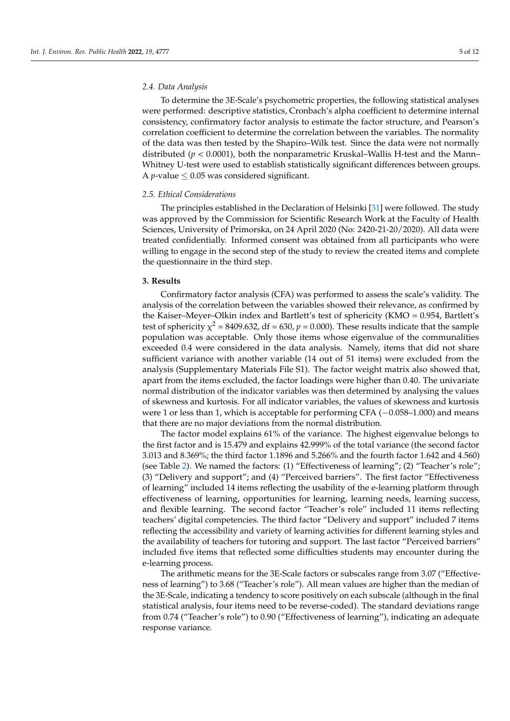#### *2.4. Data Analysis*

To determine the 3E-Scale's psychometric properties, the following statistical analyses were performed: descriptive statistics, Cronbach's alpha coefficient to determine internal consistency, confirmatory factor analysis to estimate the factor structure, and Pearson's correlation coefficient to determine the correlation between the variables. The normality of the data was then tested by the Shapiro–Wilk test. Since the data were not normally distributed (*p* < 0.0001), both the nonparametric Kruskal–Wallis H-test and the Mann– Whitney U-test were used to establish statistically significant differences between groups. A *p*-value  $\leq$  0.05 was considered significant.

## *2.5. Ethical Considerations*

The principles established in the Declaration of Helsinki [\[31\]](#page-11-3) were followed. The study was approved by the Commission for Scientific Research Work at the Faculty of Health Sciences, University of Primorska, on 24 April 2020 (No: 2420-21-20/2020). All data were treated confidentially. Informed consent was obtained from all participants who were willing to engage in the second step of the study to review the created items and complete the questionnaire in the third step.

#### **3. Results**

Confirmatory factor analysis (CFA) was performed to assess the scale's validity. The analysis of the correlation between the variables showed their relevance, as confirmed by the Kaiser–Meyer–Olkin index and Bartlett's test of sphericity (KMO = 0.954, Bartlett's test of sphericity  $\chi^2$  = 8409.632, df = 630,  $p$  = 0.000). These results indicate that the sample population was acceptable. Only those items whose eigenvalue of the communalities exceeded 0.4 were considered in the data analysis. Namely, items that did not share sufficient variance with another variable (14 out of 51 items) were excluded from the analysis (Supplementary Materials File S1). The factor weight matrix also showed that, apart from the items excluded, the factor loadings were higher than 0.40. The univariate normal distribution of the indicator variables was then determined by analysing the values of skewness and kurtosis. For all indicator variables, the values of skewness and kurtosis were 1 or less than 1, which is acceptable for performing CFA (−0.058–1.000) and means that there are no major deviations from the normal distribution.

The factor model explains 61% of the variance. The highest eigenvalue belongs to the first factor and is 15.479 and explains 42.999% of the total variance (the second factor 3.013 and 8.369%; the third factor 1.1896 and 5.266% and the fourth factor 1.642 and 4.560) (see Table [2\)](#page-5-0). We named the factors: (1) "Effectiveness of learning"; (2) "Teacher's role"; (3) "Delivery and support"; and (4) "Perceived barriers". The first factor "Effectiveness of learning" included 14 items reflecting the usability of the e-learning platform through effectiveness of learning, opportunities for learning, learning needs, learning success, and flexible learning. The second factor "Teacher's role" included 11 items reflecting teachers' digital competencies. The third factor "Delivery and support" included 7 items reflecting the accessibility and variety of learning activities for different learning styles and the availability of teachers for tutoring and support. The last factor "Perceived barriers" included five items that reflected some difficulties students may encounter during the e-learning process.

The arithmetic means for the 3E-Scale factors or subscales range from 3.07 ("Effectiveness of learning") to 3.68 ("Teacher's role"). All mean values are higher than the median of the 3E-Scale, indicating a tendency to score positively on each subscale (although in the final statistical analysis, four items need to be reverse-coded). The standard deviations range from 0.74 ("Teacher's role") to 0.90 ("Effectiveness of learning"), indicating an adequate response variance.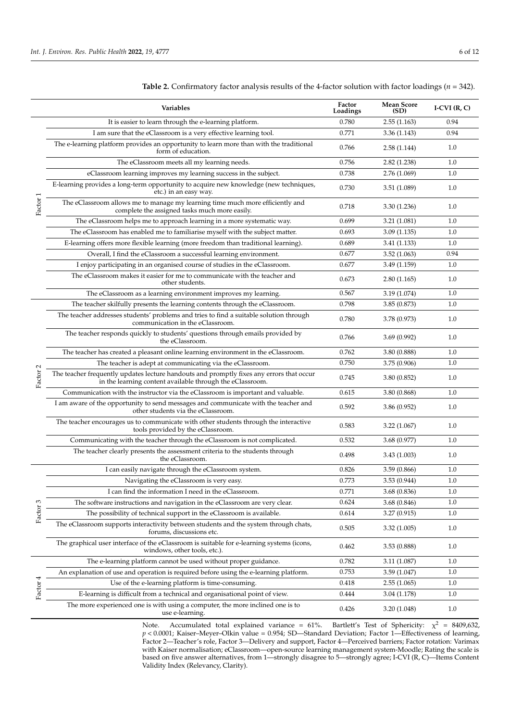|          | Variables                                                                                                                                             | Factor<br>Loadings | <b>Mean Score</b><br>(SD) |      |
|----------|-------------------------------------------------------------------------------------------------------------------------------------------------------|--------------------|---------------------------|------|
|          | It is easier to learn through the e-learning platform.                                                                                                | 0.780              | 2.55(1.163)               | 0.94 |
|          | I am sure that the eClassroom is a very effective learning tool.                                                                                      | 0.771              | 3.36(1.143)               | 0.94 |
|          | The e-learning platform provides an opportunity to learn more than with the traditional<br>form of education.                                         | 0.766              | 2.58(1.144)               | 1.0  |
|          | The eClassroom meets all my learning needs.                                                                                                           | 0.756              | 2.82(1.238)               | 1.0  |
|          | eClassroom learning improves my learning success in the subject.                                                                                      | 0.738              | 2.76 (1.069)              | 1.0  |
|          | E-learning provides a long-term opportunity to acquire new knowledge (new techniques,<br>etc.) in an easy way.                                        | 0.730              | 3.51 (1.089)              | 1.0  |
| Factor 1 | The eClassroom allows me to manage my learning time much more efficiently and<br>complete the assigned tasks much more easily.                        | 0.718              | 3.30 (1.236)              | 1.0  |
|          | The eClassroom helps me to approach learning in a more systematic way.                                                                                | 0.699              | 3.21 (1.081)              | 1.0  |
|          | The eClassroom has enabled me to familiarise myself with the subject matter.                                                                          | 0.693              | 3.09(1.135)               | 1.0  |
|          | E-learning offers more flexible learning (more freedom than traditional learning).                                                                    | 0.689              | 3.41 (1.133)              | 1.0  |
|          | Overall, I find the eClassroom a successful learning environment.                                                                                     | 0.677              | 3.52(1.063)               | 0.94 |
|          | I enjoy participating in an organised course of studies in the eClassroom.                                                                            | 0.677              | 3.49 (1.159)              | 1.0  |
|          | The eClassroom makes it easier for me to communicate with the teacher and<br>other students.                                                          | 0.673              | 2.80(1.165)               | 1.0  |
|          | The eClassroom as a learning environment improves my learning.                                                                                        | 0.567              | 3.19 (1.074)              | 1.0  |
|          | The teacher skilfully presents the learning contents through the eClassroom.                                                                          | 0.798              | 3.85 (0.873)              | 1.0  |
|          | The teacher addresses students' problems and tries to find a suitable solution through<br>communication in the eClassroom.                            | 0.780              | 3.78 (0.973)              | 1.0  |
|          | The teacher responds quickly to students' questions through emails provided by<br>the eClassroom.                                                     | 0.766              | 3.69(0.992)               | 1.0  |
|          | The teacher has created a pleasant online learning environment in the eClassroom.                                                                     | 0.762              | 3.80 (0.888)              | 1.0  |
|          | The teacher is adept at communicating via the eClassroom.                                                                                             | 0.750              | 3.75 (0.906)              | 1.0  |
| Factor 2 | The teacher frequently updates lecture handouts and promptly fixes any errors that occur<br>in the learning content available through the eClassroom. | 0.745              | 3.80 (0.852)              | 1.0  |
|          | Communication with the instructor via the eClassroom is important and valuable.                                                                       | 0.615              | 3.80 (0.868)              | 1.0  |
|          | I am aware of the opportunity to send messages and communicate with the teacher and<br>other students via the eClassroom.                             | 0.592              | 3.86 (0.952)              | 1.0  |
|          | The teacher encourages us to communicate with other students through the interactive<br>tools provided by the eClassroom.                             | 0.583              | 3.22(1.067)               | 1.0  |
|          | Communicating with the teacher through the eClassroom is not complicated.                                                                             | 0.532              | 3.68 (0.977)              | 1.0  |
|          | The teacher clearly presents the assessment criteria to the students through<br>the eClassroom.                                                       | 0.498              | 3.43 (1.003)              | 1.0  |
|          | I can easily navigate through the eClassroom system.                                                                                                  | 0.826              | 3.59 (0.866)              | 1.0  |
|          | Navigating the eClassroom is very easy.                                                                                                               | 0.773              | 3.53 (0.944)              | 1.0  |
|          | I can find the information I need in the eClassroom.                                                                                                  | 0.771              | 3.68 (0.836)              | 1.0  |
| $\omega$ | The software instructions and navigation in the eClassroom are very clear.                                                                            | 0.624              | 3.68 (0.846)              | 1.0  |
| Factor:  | The possibility of technical support in the eClassroom is available.                                                                                  | 0.614              | 3.27 (0.915)              | 1.0  |
|          | The eClassroom supports interactivity between students and the system through chats,<br>forums, discussions etc.                                      | 0.505              | 3.32 (1.005)              | 1.0  |
|          | The graphical user interface of the eClassroom is suitable for e-learning systems (icons,<br>windows, other tools, etc.).                             | 0.462              | 3.53 (0.888)              | 1.0  |
|          | The e-learning platform cannot be used without proper guidance.                                                                                       | 0.782              | 3.11 (1.087)              | 1.0  |
|          | An explanation of use and operation is required before using the e-learning platform.                                                                 | 0.753              | 3.59 (1.047)              | 1.0  |
|          | Use of the e-learning platform is time-consuming.                                                                                                     | 0.418              | 2.55(1.065)               | 1.0  |
| Factor 4 | E-learning is difficult from a technical and organisational point of view.                                                                            | 0.444              | 3.04 (1.178)              | 1.0  |
|          | The more experienced one is with using a computer, the more inclined one is to<br>use e-learning.                                                     | 0.426              | 3.20 (1.048)              | 1.0  |

<span id="page-5-0"></span>**Table 2.** Confirmatory factor analysis results of the 4-factor solution with factor loadings (*n* = 342).

Note. Accumulated total explained variance =  $61\%$ . Bartlett's Test of Sphericity:  $\chi^2$  = 8409,632, *p* < 0.0001; Kaiser–Meyer–Olkin value = 0.954; SD—Standard Deviation; Factor 1—Effectiveness of learning, Factor 2—Teacher's role, Factor 3—Delivery and support, Factor 4—Perceived barriers; Factor rotation: Varimax with Kaiser normalisation; eClassroom—open-source learning management system-Moodle; Rating the scale is based on five answer alternatives, from 1—strongly disagree to 5—strongly agree; I-CVI (R, C)—Items Content Validity Index (Relevancy, Clarity).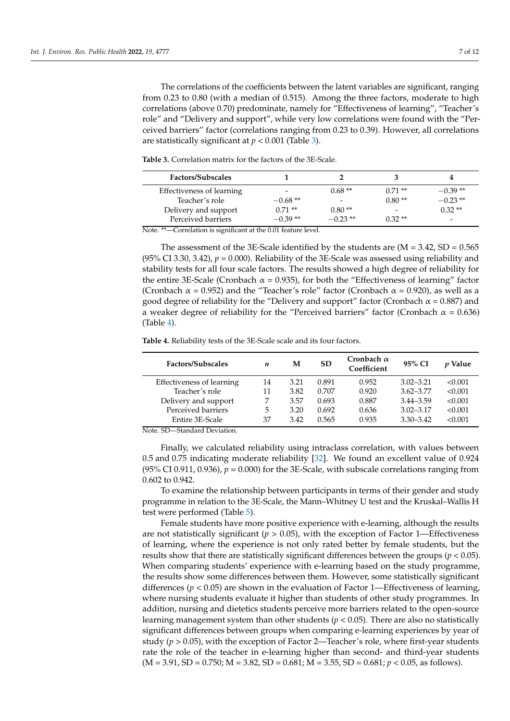The correlations of the coefficients between the latent variables are significant, ranging from 0.23 to 0.80 (with a median of 0.515). Among the three factors, moderate to high correlations (above 0.70) predominate, namely for "Effectiveness of learning", "Teacher's role" and "Delivery and support", while very low correlations were found with the "Perceived barriers" factor (correlations ranging from 0.23 to 0.39). However, all correlations are statistically significant at  $p < 0.001$  (Table [3\)](#page-6-0).

| <b>Factors/Subscales</b>  |           |           |                          |                          |
|---------------------------|-----------|-----------|--------------------------|--------------------------|
| Effectiveness of learning |           | $0.68**$  | $0.71**$                 | $-0.39**$                |
| Teacher's role            | $-0.68**$ |           | $0.80**$                 | $-0.23**$                |
| Delivery and support      | $0.71**$  | $0.80**$  | $\overline{\phantom{a}}$ | $0.32**$                 |
| Perceived barriers        | $-0.39**$ | $-0.23**$ | $0.32**$                 | $\overline{\phantom{0}}$ |

<span id="page-6-0"></span>**Table 3.** Correlation matrix for the factors of the 3E-Scale.

Note. \*\*—Correlation is significant at the 0.01 feature level.

The assessment of the 3E-Scale identified by the students are  $(M = 3.42, SD = 0.565$ (95% CI 3.30, 3.42),  $p = 0.000$ ). Reliability of the 3E-Scale was assessed using reliability and stability tests for all four scale factors. The results showed a high degree of reliability for the entire 3E-Scale (Cronbach  $\alpha = 0.935$ ), for both the "Effectiveness of learning" factor (Cronbach  $\alpha$  = 0.952) and the "Teacher's role" factor (Cronbach  $\alpha$  = 0.920), as well as a good degree of reliability for the "Delivery and support" factor (Cronbach  $\alpha$  = 0.887) and a weaker degree of reliability for the "Perceived barriers" factor (Cronbach  $\alpha$  = 0.636) (Table [4\)](#page-6-1).

<span id="page-6-1"></span>**Table 4.** Reliability tests of the 3E-Scale scale and its four factors.

| Factors/Subscales         | n  | М    | <b>SD</b> | Cronbach $\alpha$<br>Coefficient | 95% CI        | <i>v</i> Value |
|---------------------------|----|------|-----------|----------------------------------|---------------|----------------|
| Effectiveness of learning | 14 | 3.21 | 0.891     | 0.952                            | $3.02 - 3.21$ | < 0.001        |
| Teacher's role            | 11 | 3.82 | 0.707     | 0.920                            | $3.62 - 3.77$ | < 0.001        |
| Delivery and support      | 7  | 3.57 | 0.693     | 0.887                            | $3.44 - 3.59$ | < 0.001        |
| Perceived barriers        | 5. | 3.20 | 0.692     | 0.636                            | $3.02 - 3.17$ | < 0.001        |
| Entire 3E-Scale           | 37 | 3.42 | 0.565     | 0.935                            | $3.30 - 3.42$ | < 0.001        |

Note. SD—Standard Deviation.

Finally, we calculated reliability using intraclass correlation, with values between 0.5 and 0.75 indicating moderate reliability [\[32\]](#page-11-9). We found an excellent value of 0.924 (95% CI 0.911, 0.936),  $p = 0.000$ ) for the 3E-Scale, with subscale correlations ranging from 0.602 to 0.942.

To examine the relationship between participants in terms of their gender and study programme in relation to the 3E-Scale, the Mann–Whitney U test and the Kruskal–Wallis H test were performed (Table [5\)](#page-7-0).

Female students have more positive experience with e-learning, although the results are not statistically significant ( $p > 0.05$ ), with the exception of Factor 1—Effectiveness of learning, where the experience is not only rated better by female students, but the results show that there are statistically significant differences between the groups (*p* < 0.05). When comparing students' experience with e-learning based on the study programme, the results show some differences between them. However, some statistically significant differences (*p* < 0.05) are shown in the evaluation of Factor 1—Effectiveness of learning, where nursing students evaluate it higher than students of other study programmes. In addition, nursing and dietetics students perceive more barriers related to the open-source learning management system than other students (*p* < 0.05). There are also no statistically significant differences between groups when comparing e-learning experiences by year of study ( $p > 0.05$ ), with the exception of Factor 2—Teacher's role, where first-year students rate the role of the teacher in e-learning higher than second- and third-year students  $(M = 3.91, SD = 0.750; M = 3.82, SD = 0.681; M = 3.55, SD = 0.681; p < 0.05$ , as follows).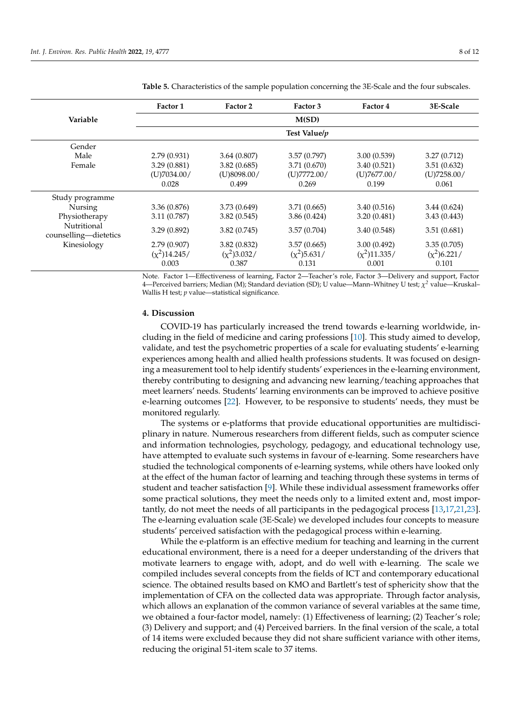|                                      | Factor 1       | Factor 2      | Factor 3       | Factor 4        | 3E-Scale       |
|--------------------------------------|----------------|---------------|----------------|-----------------|----------------|
| Variable                             |                |               | M(SD)          |                 |                |
|                                      |                |               | Test Value/p   |                 |                |
| Gender                               |                |               |                |                 |                |
| Male                                 | 2.79(0.931)    | 3.64(0.807)   | 3.57(0.797)    | 3.00(0.539)     | 3.27(0.712)    |
| Female                               | 3.29(0.881)    | 3.82(0.685)   | 3.71 (0.670)   | 3.40(0.521)     | 3.51(0.632)    |
|                                      | (U)7034.00/    | (U)8098.00/   | (U)7772.00/    | (U)7677.00/     | (U)7258.00/    |
|                                      | 0.028          | 0.499         | 0.269          | 0.199           | 0.061          |
| Study programme                      |                |               |                |                 |                |
| Nursing                              | 3.36(0.876)    | 3.73(0.649)   | 3.71(0.665)    | 3.40(0.516)     | 3.44(0.624)    |
| Physiotherapy                        | 3.11(0.787)    | 3.82(0.545)   | 3.86(0.424)    | 3.20(0.481)     | 3.43(0.443)    |
| Nutritional<br>counselling-dietetics | 3.29(0.892)    | 3.82(0.745)   | 3.57(0.704)    | 3.40(0.548)     | 3.51(0.681)    |
| Kinesiology                          | 2.79(0.907)    | 3.82(0.832)   | 3.57(0.665)    | 3.00(0.492)     | 3.35(0.705)    |
|                                      | $(x^2)14.245/$ | $(x^2)3.032/$ | $(x^2)$ 5.631/ | $(x^2)$ 11.335/ | $(x^2)$ 6.221/ |
|                                      | 0.003          | 0.387         | 0.131          | 0.001           | 0.101          |

<span id="page-7-0"></span>**Table 5.** Characteristics of the sample population concerning the 3E-Scale and the four subscales.

Note. Factor 1—Effectiveness of learning, Factor 2—Teacher's role, Factor 3—Delivery and support, Factor 4—Perceived barriers; Median (M); Standard deviation (SD); U value—Mann–Whitney U test; *χ <sup>2</sup>* value—Kruskal– Wallis H test; *p* value—statistical significance.

### **4. Discussion**

COVID-19 has particularly increased the trend towards e-learning worldwide, including in the field of medicine and caring professions [\[10\]](#page-10-6). This study aimed to develop, validate, and test the psychometric properties of a scale for evaluating students' e-learning experiences among health and allied health professions students. It was focused on designing a measurement tool to help identify students' experiences in the e-learning environment, thereby contributing to designing and advancing new learning/teaching approaches that meet learners' needs. Students' learning environments can be improved to achieve positive e-learning outcomes [\[22\]](#page-11-10). However, to be responsive to students' needs, they must be monitored regularly.

The systems or e-platforms that provide educational opportunities are multidisciplinary in nature. Numerous researchers from different fields, such as computer science and information technologies, psychology, pedagogy, and educational technology use, have attempted to evaluate such systems in favour of e-learning. Some researchers have studied the technological components of e-learning systems, while others have looked only at the effect of the human factor of learning and teaching through these systems in terms of student and teacher satisfaction [\[9\]](#page-10-9). While these individual assessment frameworks offer some practical solutions, they meet the needs only to a limited extent and, most importantly, do not meet the needs of all participants in the pedagogical process [\[13,](#page-10-11)[17,](#page-10-16)[21,](#page-11-0)[23\]](#page-11-1). The e-learning evaluation scale (3E-Scale) we developed includes four concepts to measure students' perceived satisfaction with the pedagogical process within e-learning.

While the e-platform is an effective medium for teaching and learning in the current educational environment, there is a need for a deeper understanding of the drivers that motivate learners to engage with, adopt, and do well with e-learning. The scale we compiled includes several concepts from the fields of ICT and contemporary educational science. The obtained results based on KMO and Bartlett's test of sphericity show that the implementation of CFA on the collected data was appropriate. Through factor analysis, which allows an explanation of the common variance of several variables at the same time, we obtained a four-factor model, namely: (1) Effectiveness of learning; (2) Teacher's role; (3) Delivery and support; and (4) Perceived barriers. In the final version of the scale, a total of 14 items were excluded because they did not share sufficient variance with other items, reducing the original 51-item scale to 37 items.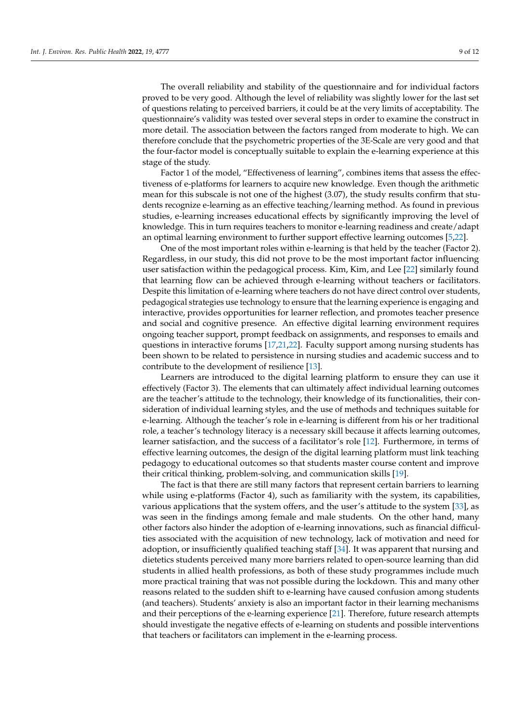The overall reliability and stability of the questionnaire and for individual factors proved to be very good. Although the level of reliability was slightly lower for the last set of questions relating to perceived barriers, it could be at the very limits of acceptability. The questionnaire's validity was tested over several steps in order to examine the construct in more detail. The association between the factors ranged from moderate to high. We can therefore conclude that the psychometric properties of the 3E-Scale are very good and that the four-factor model is conceptually suitable to explain the e-learning experience at this stage of the study.

Factor 1 of the model, "Effectiveness of learning", combines items that assess the effectiveness of e-platforms for learners to acquire new knowledge. Even though the arithmetic mean for this subscale is not one of the highest (3.07), the study results confirm that students recognize e-learning as an effective teaching/learning method. As found in previous studies, e-learning increases educational effects by significantly improving the level of knowledge. This in turn requires teachers to monitor e-learning readiness and create/adapt an optimal learning environment to further support effective learning outcomes [\[5](#page-10-3)[,22\]](#page-11-10).

One of the most important roles within e-learning is that held by the teacher (Factor 2). Regardless, in our study, this did not prove to be the most important factor influencing user satisfaction within the pedagogical process. Kim, Kim, and Lee [\[22\]](#page-11-10) similarly found that learning flow can be achieved through e-learning without teachers or facilitators. Despite this limitation of e-learning where teachers do not have direct control over students, pedagogical strategies use technology to ensure that the learning experience is engaging and interactive, provides opportunities for learner reflection, and promotes teacher presence and social and cognitive presence. An effective digital learning environment requires ongoing teacher support, prompt feedback on assignments, and responses to emails and questions in interactive forums [\[17,](#page-10-16)[21,](#page-11-0)[22\]](#page-11-10). Faculty support among nursing students has been shown to be related to persistence in nursing studies and academic success and to contribute to the development of resilience [\[13\]](#page-10-11).

Learners are introduced to the digital learning platform to ensure they can use it effectively (Factor 3). The elements that can ultimately affect individual learning outcomes are the teacher's attitude to the technology, their knowledge of its functionalities, their consideration of individual learning styles, and the use of methods and techniques suitable for e-learning. Although the teacher's role in e-learning is different from his or her traditional role, a teacher's technology literacy is a necessary skill because it affects learning outcomes, learner satisfaction, and the success of a facilitator's role [\[12\]](#page-10-10). Furthermore, in terms of effective learning outcomes, the design of the digital learning platform must link teaching pedagogy to educational outcomes so that students master course content and improve their critical thinking, problem-solving, and communication skills [\[19\]](#page-10-18).

The fact is that there are still many factors that represent certain barriers to learning while using e-platforms (Factor 4), such as familiarity with the system, its capabilities, various applications that the system offers, and the user's attitude to the system [\[33\]](#page-11-11), as was seen in the findings among female and male students. On the other hand, many other factors also hinder the adoption of e-learning innovations, such as financial difficulties associated with the acquisition of new technology, lack of motivation and need for adoption, or insufficiently qualified teaching staff [\[34\]](#page-11-12). It was apparent that nursing and dietetics students perceived many more barriers related to open-source learning than did students in allied health professions, as both of these study programmes include much more practical training that was not possible during the lockdown. This and many other reasons related to the sudden shift to e-learning have caused confusion among students (and teachers). Students' anxiety is also an important factor in their learning mechanisms and their perceptions of the e-learning experience [\[21\]](#page-11-0). Therefore, future research attempts should investigate the negative effects of e-learning on students and possible interventions that teachers or facilitators can implement in the e-learning process.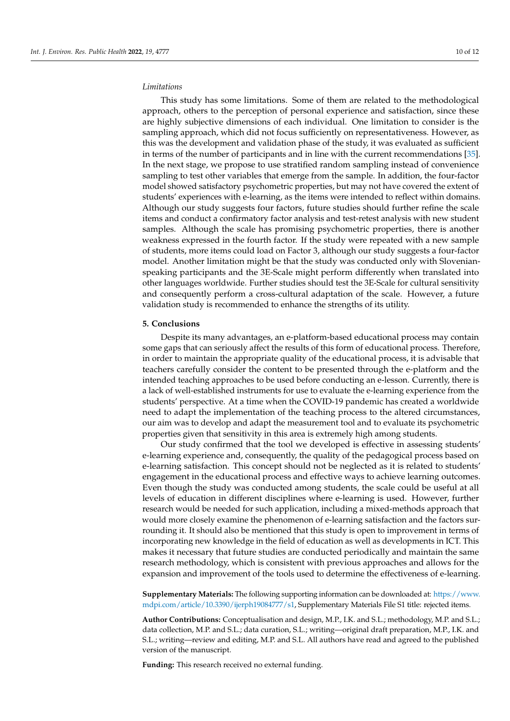# *Limitations*

This study has some limitations. Some of them are related to the methodological approach, others to the perception of personal experience and satisfaction, since these are highly subjective dimensions of each individual. One limitation to consider is the sampling approach, which did not focus sufficiently on representativeness. However, as this was the development and validation phase of the study, it was evaluated as sufficient in terms of the number of participants and in line with the current recommendations [\[35\]](#page-11-13). In the next stage, we propose to use stratified random sampling instead of convenience sampling to test other variables that emerge from the sample. In addition, the four-factor model showed satisfactory psychometric properties, but may not have covered the extent of students' experiences with e-learning, as the items were intended to reflect within domains. Although our study suggests four factors, future studies should further refine the scale items and conduct a confirmatory factor analysis and test-retest analysis with new student samples. Although the scale has promising psychometric properties, there is another weakness expressed in the fourth factor. If the study were repeated with a new sample of students, more items could load on Factor 3, although our study suggests a four-factor model. Another limitation might be that the study was conducted only with Slovenianspeaking participants and the 3E-Scale might perform differently when translated into other languages worldwide. Further studies should test the 3E-Scale for cultural sensitivity and consequently perform a cross-cultural adaptation of the scale. However, a future validation study is recommended to enhance the strengths of its utility.

#### **5. Conclusions**

Despite its many advantages, an e-platform-based educational process may contain some gaps that can seriously affect the results of this form of educational process. Therefore, in order to maintain the appropriate quality of the educational process, it is advisable that teachers carefully consider the content to be presented through the e-platform and the intended teaching approaches to be used before conducting an e-lesson. Currently, there is a lack of well-established instruments for use to evaluate the e-learning experience from the students' perspective. At a time when the COVID-19 pandemic has created a worldwide need to adapt the implementation of the teaching process to the altered circumstances, our aim was to develop and adapt the measurement tool and to evaluate its psychometric properties given that sensitivity in this area is extremely high among students.

Our study confirmed that the tool we developed is effective in assessing students' e-learning experience and, consequently, the quality of the pedagogical process based on e-learning satisfaction. This concept should not be neglected as it is related to students' engagement in the educational process and effective ways to achieve learning outcomes. Even though the study was conducted among students, the scale could be useful at all levels of education in different disciplines where e-learning is used. However, further research would be needed for such application, including a mixed-methods approach that would more closely examine the phenomenon of e-learning satisfaction and the factors surrounding it. It should also be mentioned that this study is open to improvement in terms of incorporating new knowledge in the field of education as well as developments in ICT. This makes it necessary that future studies are conducted periodically and maintain the same research methodology, which is consistent with previous approaches and allows for the expansion and improvement of the tools used to determine the effectiveness of e-learning.

**Supplementary Materials:** The following supporting information can be downloaded at: [https://www.](https://www.mdpi.com/article/10.3390/ijerph19084777/s1) [mdpi.com/article/10.3390/ijerph19084777/s1,](https://www.mdpi.com/article/10.3390/ijerph19084777/s1) Supplementary Materials File S1 title: rejected items.

**Author Contributions:** Conceptualisation and design, M.P., I.K. and S.L.; methodology, M.P. and S.L.; data collection, M.P. and S.L.; data curation, S.L.; writing—original draft preparation, M.P., I.K. and S.L.; writing—review and editing, M.P. and S.L. All authors have read and agreed to the published version of the manuscript.

**Funding:** This research received no external funding.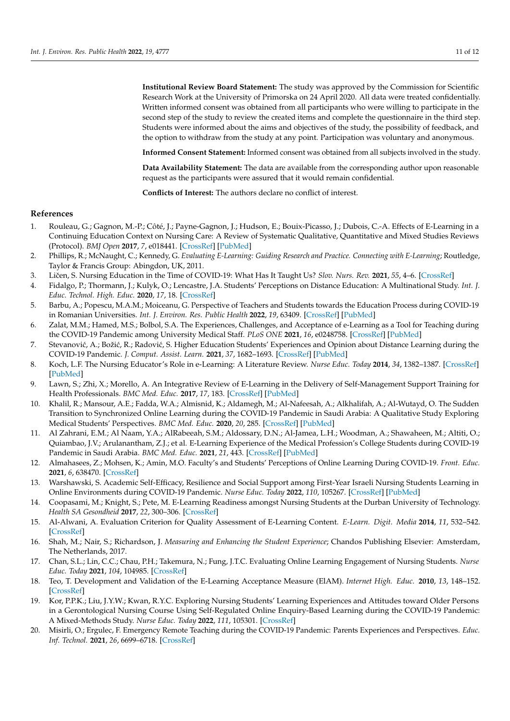**Institutional Review Board Statement:** The study was approved by the Commission for Scientific Research Work at the University of Primorska on 24 April 2020. All data were treated confidentially. Written informed consent was obtained from all participants who were willing to participate in the second step of the study to review the created items and complete the questionnaire in the third step. Students were informed about the aims and objectives of the study, the possibility of feedback, and the option to withdraw from the study at any point. Participation was voluntary and anonymous.

**Informed Consent Statement:** Informed consent was obtained from all subjects involved in the study.

**Data Availability Statement:** The data are available from the corresponding author upon reasonable request as the participants were assured that it would remain confidential.

**Conflicts of Interest:** The authors declare no conflict of interest.

#### **References**

- <span id="page-10-0"></span>1. Rouleau, G.; Gagnon, M.-P.; Côté, J.; Payne-Gagnon, J.; Hudson, E.; Bouix-Picasso, J.; Dubois, C.-A. Effects of E-Learning in a Continuing Education Context on Nursing Care: A Review of Systematic Qualitative, Quantitative and Mixed Studies Reviews (Protocol). *BMJ Open* **2017**, *7*, e018441. [\[CrossRef\]](http://doi.org/10.1136/bmjopen-2017-018441) [\[PubMed\]](http://www.ncbi.nlm.nih.gov/pubmed/29042394)
- <span id="page-10-13"></span>2. Phillips, R.; McNaught, C.; Kennedy, G. *Evaluating E-Learning: Guiding Research and Practice. Connecting with E-Learning*; Routledge, Taylor & Francis Group: Abingdon, UK, 2011.
- <span id="page-10-1"></span>3. Ličen, S. Nursing Education in the Time of COVID-19: What Has It Taught Us? Slov. Nurs. Rev. 2021, 55, 4–6. [\[CrossRef\]](http://doi.org/10.14528/snr.2021.55.1.3080)
- <span id="page-10-2"></span>4. Fidalgo, P.; Thormann, J.; Kulyk, O.; Lencastre, J.A. Students' Perceptions on Distance Education: A Multinational Study. *Int. J. Educ. Technol. High. Educ.* **2020**, *17*, 18. [\[CrossRef\]](http://doi.org/10.1186/s41239-020-00194-2)
- <span id="page-10-3"></span>5. Barbu, A.; Popescu, M.A.M.; Moiceanu, G. Perspective of Teachers and Students towards the Education Process during COVID-19 in Romanian Universities. *Int. J. Environ. Res. Public Health* **2022**, *19*, 63409. [\[CrossRef\]](http://doi.org/10.3390/ijerph19063409) [\[PubMed\]](http://www.ncbi.nlm.nih.gov/pubmed/35329099)
- <span id="page-10-4"></span>6. Zalat, M.M.; Hamed, M.S.; Bolbol, S.A. The Experiences, Challenges, and Acceptance of e-Learning as a Tool for Teaching during the COVID-19 Pandemic among University Medical Staff. *PLoS ONE* **2021**, *16*, e0248758. [\[CrossRef\]](http://doi.org/10.1371/journal.pone.0248758) [\[PubMed\]](http://www.ncbi.nlm.nih.gov/pubmed/33770079)
- <span id="page-10-5"></span>7. Stevanović, A.; Božić, R.; Radović, S. Higher Education Students' Experiences and Opinion about Distance Learning during the COVID-19 Pandemic. *J. Comput. Assist. Learn.* **2021**, *37*, 1682–1693. [\[CrossRef\]](http://doi.org/10.1111/jcal.12613) [\[PubMed\]](http://www.ncbi.nlm.nih.gov/pubmed/34903902)
- <span id="page-10-7"></span>8. Koch, L.F. The Nursing Educator's Role in e-Learning: A Literature Review. *Nurse Educ. Today* **2014**, *34*, 1382–1387. [\[CrossRef\]](http://doi.org/10.1016/j.nedt.2014.04.002) [\[PubMed\]](http://www.ncbi.nlm.nih.gov/pubmed/24797277)
- <span id="page-10-9"></span>9. Lawn, S.; Zhi, X.; Morello, A. An Integrative Review of E-Learning in the Delivery of Self-Management Support Training for Health Professionals. *BMC Med. Educ.* **2017**, *17*, 183. [\[CrossRef\]](http://doi.org/10.1186/s12909-017-1022-0) [\[PubMed\]](http://www.ncbi.nlm.nih.gov/pubmed/29017521)
- <span id="page-10-6"></span>10. Khalil, R.; Mansour, A.E.; Fadda, W.A.; Almisnid, K.; Aldamegh, M.; Al-Nafeesah, A.; Alkhalifah, A.; Al-Wutayd, O. The Sudden Transition to Synchronized Online Learning during the COVID-19 Pandemic in Saudi Arabia: A Qualitative Study Exploring Medical Students' Perspectives. *BMC Med. Educ.* **2020**, *20*, 285. [\[CrossRef\]](http://doi.org/10.1186/s12909-020-02208-z) [\[PubMed\]](http://www.ncbi.nlm.nih.gov/pubmed/32859188)
- <span id="page-10-8"></span>11. Al Zahrani, E.M.; Al Naam, Y.A.; AlRabeeah, S.M.; Aldossary, D.N.; Al-Jamea, L.H.; Woodman, A.; Shawaheen, M.; Altiti, O.; Quiambao, J.V.; Arulanantham, Z.J.; et al. E-Learning Experience of the Medical Profession's College Students during COVID-19 Pandemic in Saudi Arabia. *BMC Med. Educ.* **2021**, *21*, 443. [\[CrossRef\]](http://doi.org/10.1186/s12909-021-02860-z) [\[PubMed\]](http://www.ncbi.nlm.nih.gov/pubmed/34416889)
- <span id="page-10-10"></span>12. Almahasees, Z.; Mohsen, K.; Amin, M.O. Faculty's and Students' Perceptions of Online Learning During COVID-19. *Front. Educ.* **2021**, *6*, 638470. [\[CrossRef\]](http://doi.org/10.3389/feduc.2021.638470)
- <span id="page-10-11"></span>13. Warshawski, S. Academic Self-Efficacy, Resilience and Social Support among First-Year Israeli Nursing Students Learning in Online Environments during COVID-19 Pandemic. *Nurse Educ. Today* **2022**, *110*, 105267. [\[CrossRef\]](http://doi.org/10.1016/j.nedt.2022.105267) [\[PubMed\]](http://www.ncbi.nlm.nih.gov/pubmed/35051871)
- <span id="page-10-12"></span>14. Coopasami, M.; Knight, S.; Pete, M. E-Learning Readiness amongst Nursing Students at the Durban University of Technology. *Health SA Gesondheid* **2017**, *22*, 300–306. [\[CrossRef\]](http://doi.org/10.1016/j.hsag.2017.04.003)
- <span id="page-10-14"></span>15. Al-Alwani, A. Evaluation Criterion for Quality Assessment of E-Learning Content. *E-Learn. Digit. Media* **2014**, *11*, 532–542. [\[CrossRef\]](http://doi.org/10.2304/elea.2014.11.6.532)
- <span id="page-10-15"></span>16. Shah, M.; Nair, S.; Richardson, J. *Measuring and Enhancing the Student Experience*; Chandos Publishing Elsevier: Amsterdam, The Netherlands, 2017.
- <span id="page-10-16"></span>17. Chan, S.L.; Lin, C.C.; Chau, P.H.; Takemura, N.; Fung, J.T.C. Evaluating Online Learning Engagement of Nursing Students. *Nurse Educ. Today* **2021**, *104*, 104985. [\[CrossRef\]](http://doi.org/10.1016/j.nedt.2021.104985)
- <span id="page-10-17"></span>18. Teo, T. Development and Validation of the E-Learning Acceptance Measure (ElAM). *Internet High. Educ.* **2010**, *13*, 148–152. [\[CrossRef\]](http://doi.org/10.1016/j.iheduc.2010.02.001)
- <span id="page-10-18"></span>19. Kor, P.P.K.; Liu, J.Y.W.; Kwan, R.Y.C. Exploring Nursing Students' Learning Experiences and Attitudes toward Older Persons in a Gerontological Nursing Course Using Self-Regulated Online Enquiry-Based Learning during the COVID-19 Pandemic: A Mixed-Methods Study. *Nurse Educ. Today* **2022**, *111*, 105301. [\[CrossRef\]](http://doi.org/10.1016/j.nedt.2022.105301)
- <span id="page-10-19"></span>20. Misirli, O.; Ergulec, F. Emergency Remote Teaching during the COVID-19 Pandemic: Parents Experiences and Perspectives. *Educ. Inf. Technol.* **2021**, *26*, 6699–6718. [\[CrossRef\]](http://doi.org/10.1007/s10639-021-10520-4)